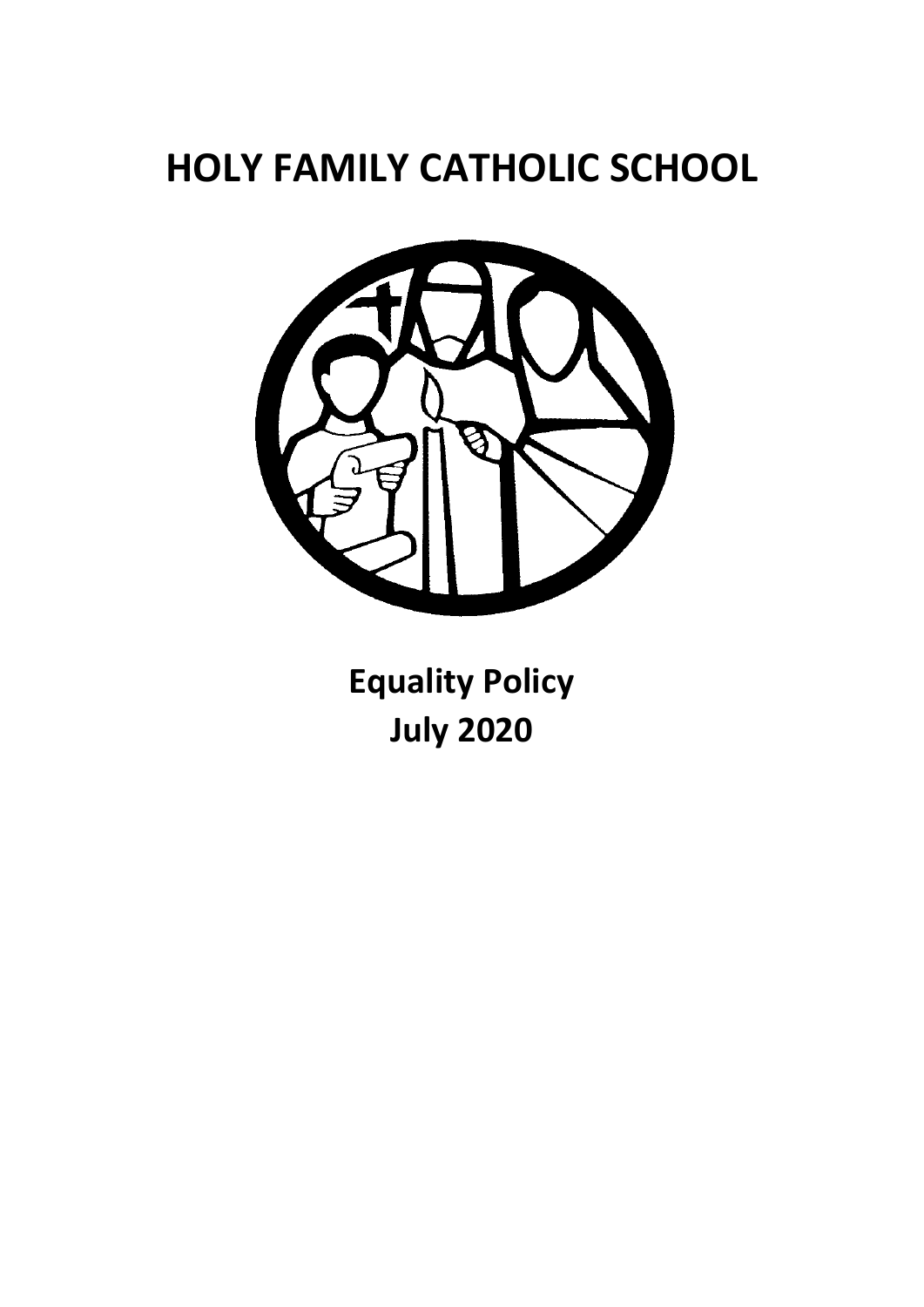# **HOLY FAMILY CATHOLIC SCHOOL**



**Equality Policy July 2020**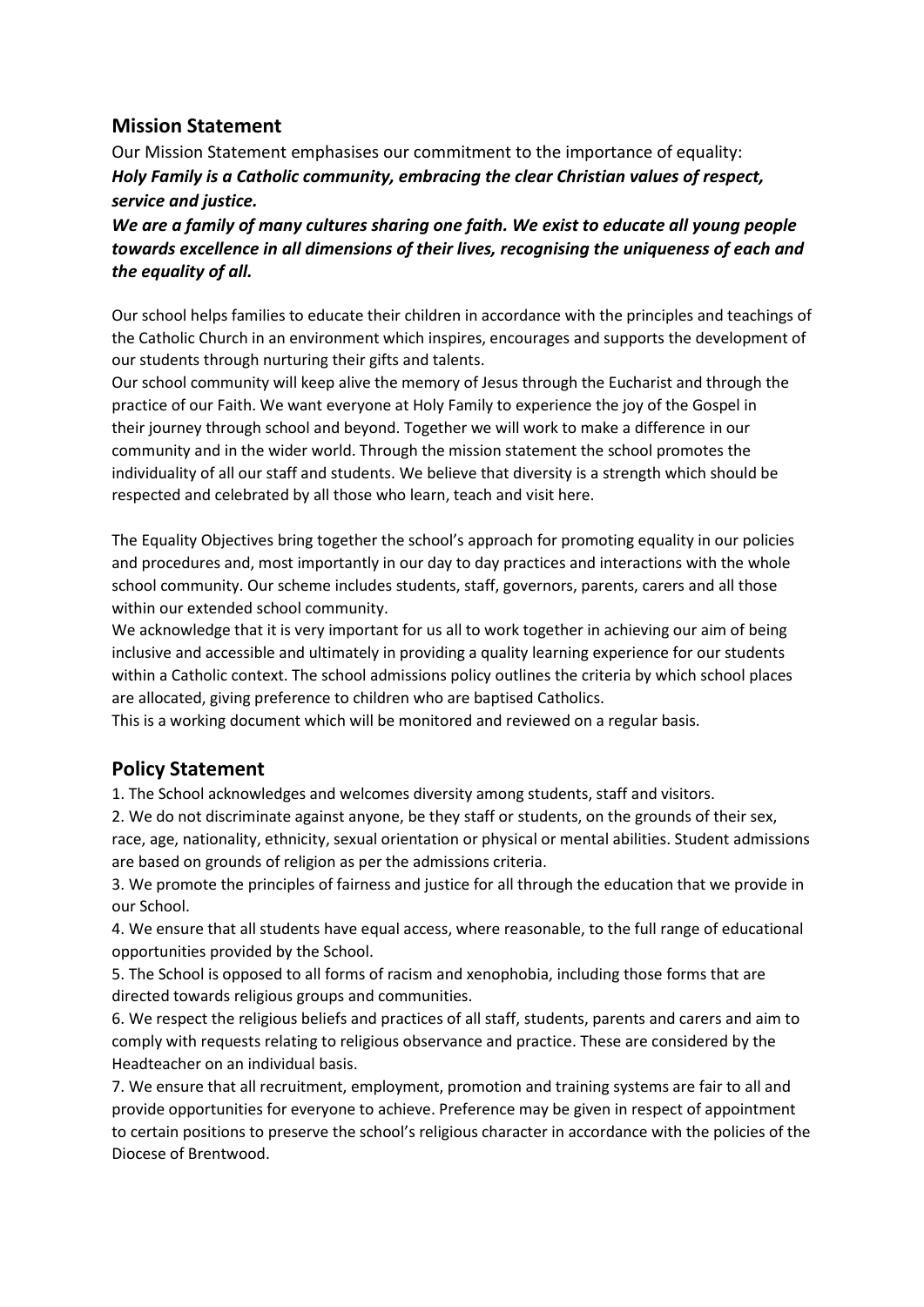#### **Mission Statement**

Our Mission Statement emphasises our commitment to the importance of equality: *Holy Family is a Catholic community, embracing the clear Christian values of respect, service and justice.*

*We are a family of many cultures sharing one faith. We exist to educate all young people towards excellence in all dimensions of their lives, recognising the uniqueness of each and the equality of all.*

Our school helps families to educate their children in accordance with the principles and teachings of the Catholic Church in an environment which inspires, encourages and supports the development of our students through nurturing their gifts and talents.

Our school community will keep alive the memory of Jesus through the Eucharist and through the practice of our Faith. We want everyone at Holy Family to experience the joy of the Gospel in their journey through school and beyond. Together we will work to make a difference in our community and in the wider world. Through the mission statement the school promotes the individuality of all our staff and students. We believe that diversity is a strength which should be respected and celebrated by all those who learn, teach and visit here.

The Equality Objectives bring together the school's approach for promoting equality in our policies and procedures and, most importantly in our day to day practices and interactions with the whole school community. Our scheme includes students, staff, governors, parents, carers and all those within our extended school community.

We acknowledge that it is very important for us all to work together in achieving our aim of being inclusive and accessible and ultimately in providing a quality learning experience for our students within a Catholic context. The school admissions policy outlines the criteria by which school places are allocated, giving preference to children who are baptised Catholics.

This is a working document which will be monitored and reviewed on a regular basis.

#### **Policy Statement**

1. The School acknowledges and welcomes diversity among students, staff and visitors.

2. We do not discriminate against anyone, be they staff or students, on the grounds of their sex, race, age, nationality, ethnicity, sexual orientation or physical or mental abilities. Student admissions are based on grounds of religion as per the admissions criteria.

3. We promote the principles of fairness and justice for all through the education that we provide in our School.

4. We ensure that all students have equal access, where reasonable, to the full range of educational opportunities provided by the School.

5. The School is opposed to all forms of racism and xenophobia, including those forms that are directed towards religious groups and communities.

6. We respect the religious beliefs and practices of all staff, students, parents and carers and aim to comply with requests relating to religious observance and practice. These are considered by the Headteacher on an individual basis.

7. We ensure that all recruitment, employment, promotion and training systems are fair to all and provide opportunities for everyone to achieve. Preference may be given in respect of appointment to certain positions to preserve the school's religious character in accordance with the policies of the Diocese of Brentwood.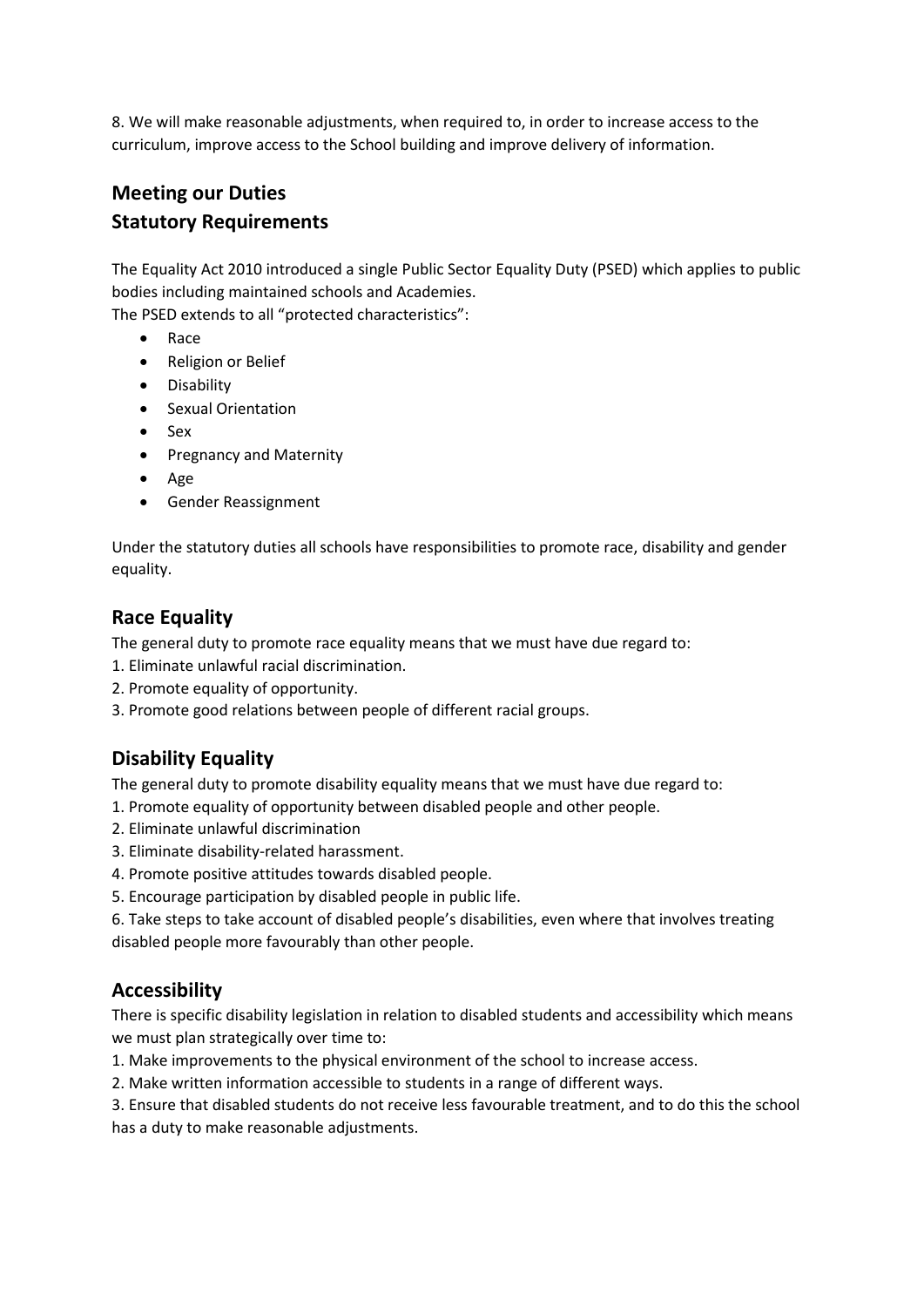8. We will make reasonable adjustments, when required to, in order to increase access to the curriculum, improve access to the School building and improve delivery of information.

# **Meeting our Duties Statutory Requirements**

The Equality Act 2010 introduced a single Public Sector Equality Duty (PSED) which applies to public bodies including maintained schools and Academies.

The PSED extends to all "protected characteristics":

- Race
- Religion or Belief
- Disability
- Sexual Orientation
- Sex
- Pregnancy and Maternity
- Age
- Gender Reassignment

Under the statutory duties all schools have responsibilities to promote race, disability and gender equality.

#### **Race Equality**

The general duty to promote race equality means that we must have due regard to:

- 1. Eliminate unlawful racial discrimination.
- 2. Promote equality of opportunity.
- 3. Promote good relations between people of different racial groups.

#### **Disability Equality**

The general duty to promote disability equality means that we must have due regard to:

- 1. Promote equality of opportunity between disabled people and other people.
- 2. Eliminate unlawful discrimination
- 3. Eliminate disability-related harassment.
- 4. Promote positive attitudes towards disabled people.
- 5. Encourage participation by disabled people in public life.
- 6. Take steps to take account of disabled people's disabilities, even where that involves treating disabled people more favourably than other people.

#### **Accessibility**

There is specific disability legislation in relation to disabled students and accessibility which means we must plan strategically over time to:

- 1. Make improvements to the physical environment of the school to increase access.
- 2. Make written information accessible to students in a range of different ways.

3. Ensure that disabled students do not receive less favourable treatment, and to do this the school has a duty to make reasonable adjustments.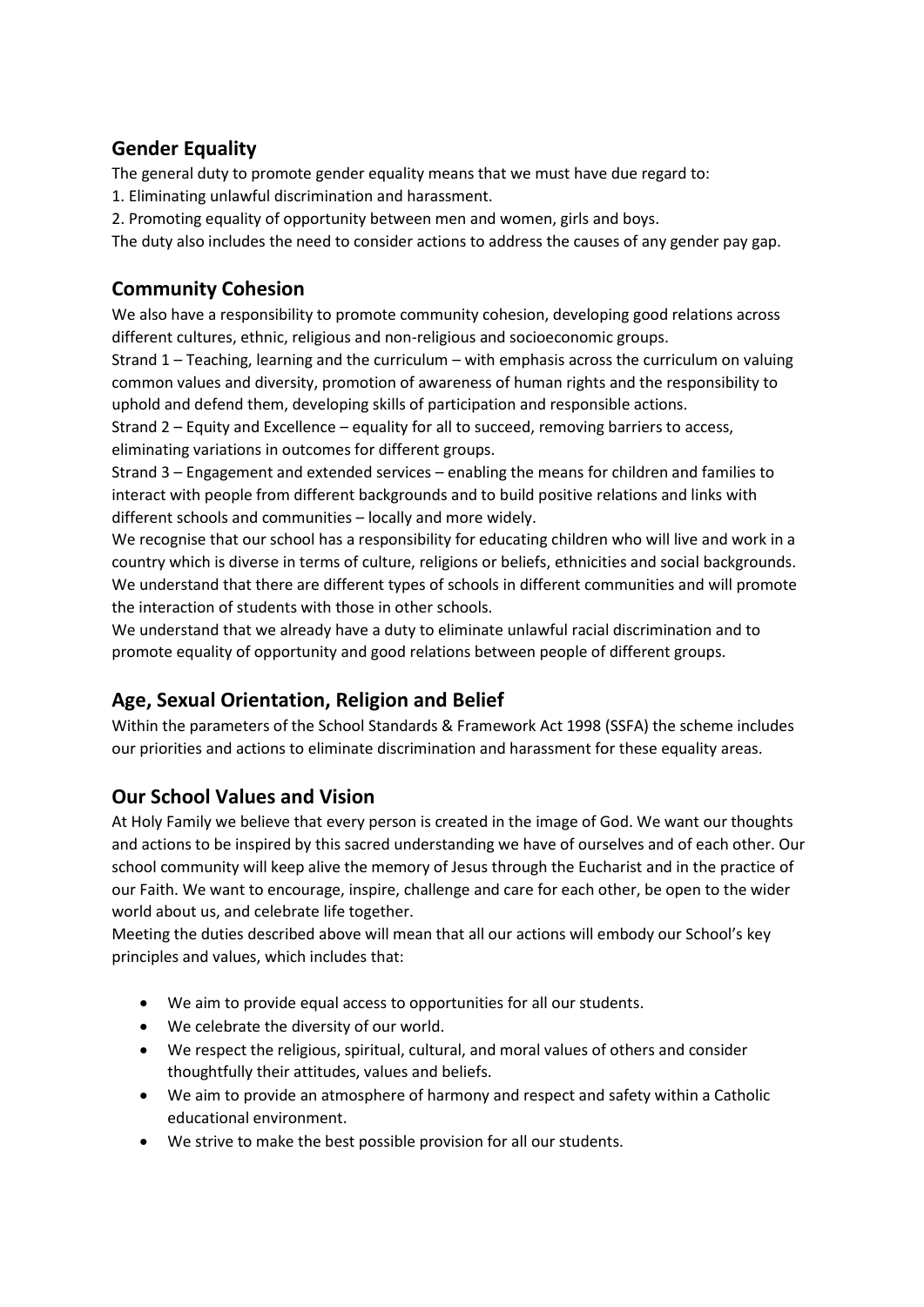# **Gender Equality**

The general duty to promote gender equality means that we must have due regard to:

- 1. Eliminating unlawful discrimination and harassment.
- 2. Promoting equality of opportunity between men and women, girls and boys.

The duty also includes the need to consider actions to address the causes of any gender pay gap.

# **Community Cohesion**

We also have a responsibility to promote community cohesion, developing good relations across different cultures, ethnic, religious and non-religious and socioeconomic groups.

Strand 1 – Teaching, learning and the curriculum – with emphasis across the curriculum on valuing common values and diversity, promotion of awareness of human rights and the responsibility to uphold and defend them, developing skills of participation and responsible actions.

Strand 2 – Equity and Excellence – equality for all to succeed, removing barriers to access, eliminating variations in outcomes for different groups.

Strand 3 – Engagement and extended services – enabling the means for children and families to interact with people from different backgrounds and to build positive relations and links with different schools and communities – locally and more widely.

We recognise that our school has a responsibility for educating children who will live and work in a country which is diverse in terms of culture, religions or beliefs, ethnicities and social backgrounds. We understand that there are different types of schools in different communities and will promote the interaction of students with those in other schools.

We understand that we already have a duty to eliminate unlawful racial discrimination and to promote equality of opportunity and good relations between people of different groups.

# **Age, Sexual Orientation, Religion and Belief**

Within the parameters of the School Standards & Framework Act 1998 (SSFA) the scheme includes our priorities and actions to eliminate discrimination and harassment for these equality areas.

# **Our School Values and Vision**

At Holy Family we believe that every person is created in the image of God. We want our thoughts and actions to be inspired by this sacred understanding we have of ourselves and of each other. Our school community will keep alive the memory of Jesus through the Eucharist and in the practice of our Faith. We want to encourage, inspire, challenge and care for each other, be open to the wider world about us, and celebrate life together.

Meeting the duties described above will mean that all our actions will embody our School's key principles and values, which includes that:

- We aim to provide equal access to opportunities for all our students.
- We celebrate the diversity of our world.
- We respect the religious, spiritual, cultural, and moral values of others and consider thoughtfully their attitudes, values and beliefs.
- We aim to provide an atmosphere of harmony and respect and safety within a Catholic educational environment.
- We strive to make the best possible provision for all our students.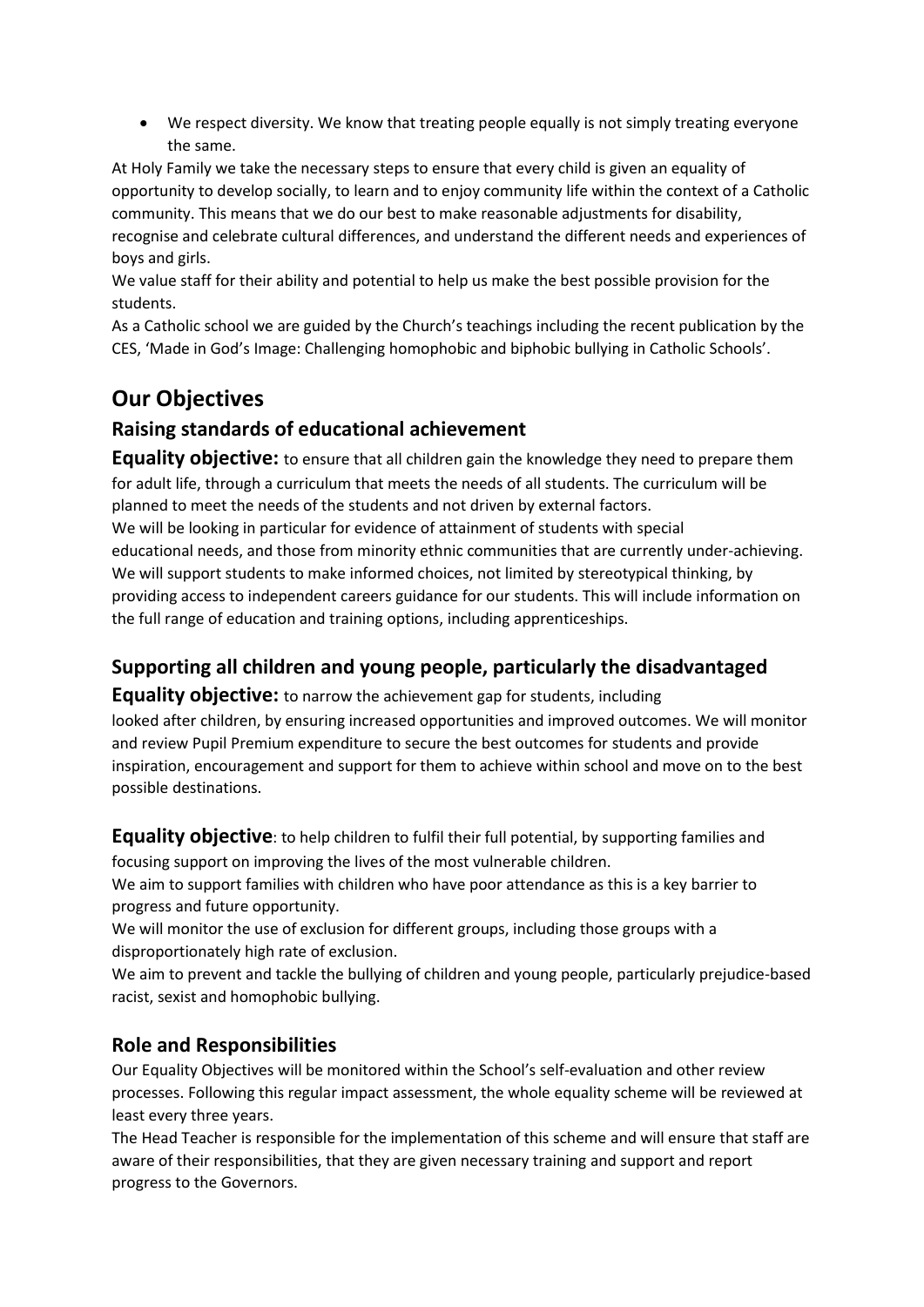• We respect diversity. We know that treating people equally is not simply treating everyone the same.

At Holy Family we take the necessary steps to ensure that every child is given an equality of opportunity to develop socially, to learn and to enjoy community life within the context of a Catholic community. This means that we do our best to make reasonable adjustments for disability, recognise and celebrate cultural differences, and understand the different needs and experiences of boys and girls.

We value staff for their ability and potential to help us make the best possible provision for the students.

As a Catholic school we are guided by the Church's teachings including the recent publication by the CES, 'Made in God's Image: Challenging homophobic and biphobic bullying in Catholic Schools'.

# **Our Objectives**

# **Raising standards of educational achievement**

**Equality objective:** to ensure that all children gain the knowledge they need to prepare them for adult life, through a curriculum that meets the needs of all students. The curriculum will be planned to meet the needs of the students and not driven by external factors.

We will be looking in particular for evidence of attainment of students with special educational needs, and those from minority ethnic communities that are currently under-achieving. We will support students to make informed choices, not limited by stereotypical thinking, by providing access to independent careers guidance for our students. This will include information on the full range of education and training options, including apprenticeships.

# **Supporting all children and young people, particularly the disadvantaged**

**Equality objective:** to narrow the achievement gap for students, including looked after children, by ensuring increased opportunities and improved outcomes. We will monitor and review Pupil Premium expenditure to secure the best outcomes for students and provide inspiration, encouragement and support for them to achieve within school and move on to the best possible destinations.

**Equality objective**: to help children to fulfil their full potential, by supporting families and focusing support on improving the lives of the most vulnerable children.

We aim to support families with children who have poor attendance as this is a key barrier to progress and future opportunity.

We will monitor the use of exclusion for different groups, including those groups with a disproportionately high rate of exclusion.

We aim to prevent and tackle the bullying of children and young people, particularly prejudice-based racist, sexist and homophobic bullying.

# **Role and Responsibilities**

Our Equality Objectives will be monitored within the School's self-evaluation and other review processes. Following this regular impact assessment, the whole equality scheme will be reviewed at least every three years.

The Head Teacher is responsible for the implementation of this scheme and will ensure that staff are aware of their responsibilities, that they are given necessary training and support and report progress to the Governors.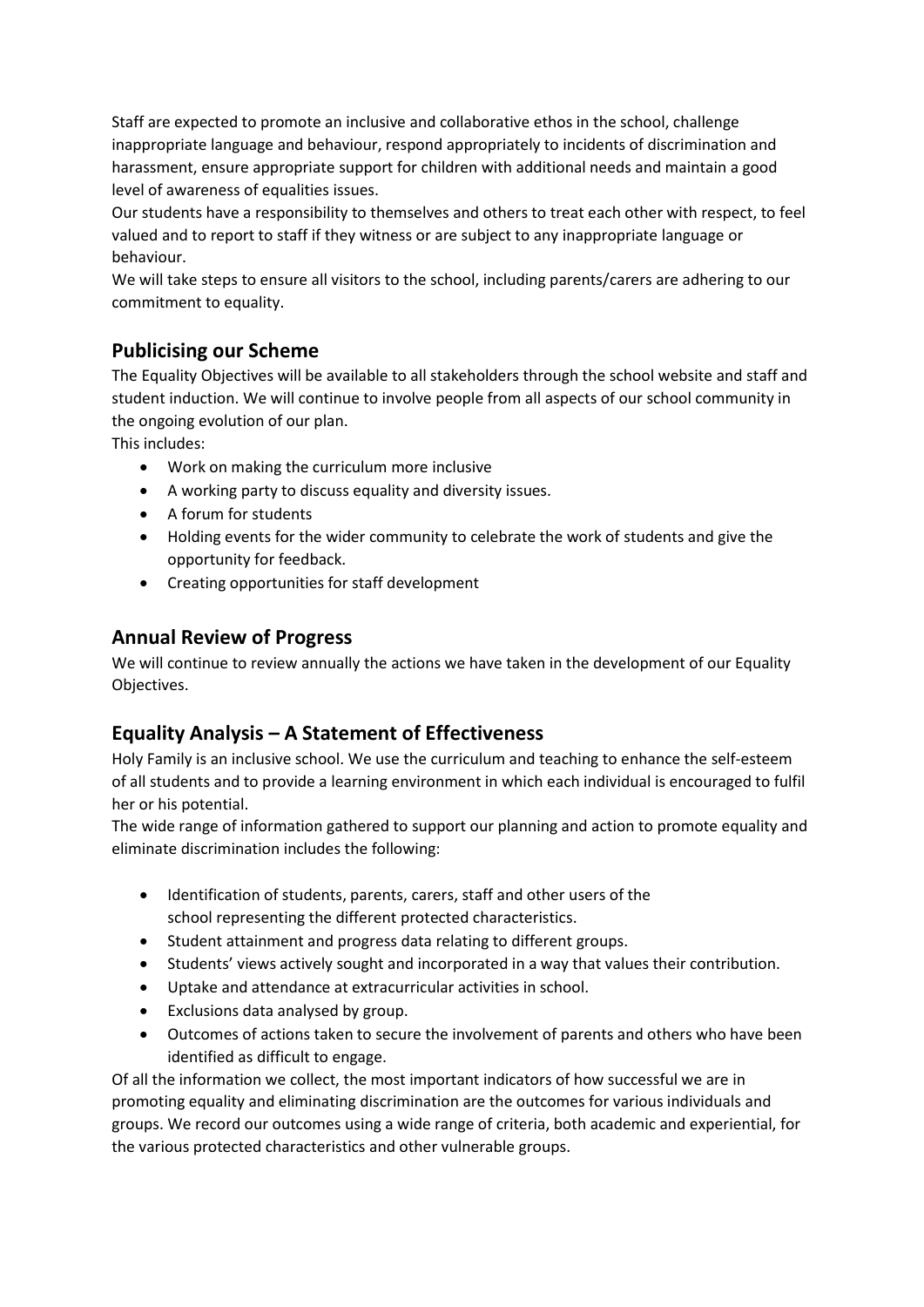Staff are expected to promote an inclusive and collaborative ethos in the school, challenge inappropriate language and behaviour, respond appropriately to incidents of discrimination and harassment, ensure appropriate support for children with additional needs and maintain a good level of awareness of equalities issues.

Our students have a responsibility to themselves and others to treat each other with respect, to feel valued and to report to staff if they witness or are subject to any inappropriate language or behaviour.

We will take steps to ensure all visitors to the school, including parents/carers are adhering to our commitment to equality.

#### **Publicising our Scheme**

The Equality Objectives will be available to all stakeholders through the school website and staff and student induction. We will continue to involve people from all aspects of our school community in the ongoing evolution of our plan.

This includes:

- Work on making the curriculum more inclusive
- A working party to discuss equality and diversity issues.
- A forum for students
- Holding events for the wider community to celebrate the work of students and give the opportunity for feedback.
- Creating opportunities for staff development

#### **Annual Review of Progress**

We will continue to review annually the actions we have taken in the development of our Equality Objectives.

# **Equality Analysis – A Statement of Effectiveness**

Holy Family is an inclusive school. We use the curriculum and teaching to enhance the self-esteem of all students and to provide a learning environment in which each individual is encouraged to fulfil her or his potential.

The wide range of information gathered to support our planning and action to promote equality and eliminate discrimination includes the following:

- Identification of students, parents, carers, staff and other users of the school representing the different protected characteristics.
- Student attainment and progress data relating to different groups.
- Students' views actively sought and incorporated in a way that values their contribution.
- Uptake and attendance at extracurricular activities in school.
- Exclusions data analysed by group.
- Outcomes of actions taken to secure the involvement of parents and others who have been identified as difficult to engage.

Of all the information we collect, the most important indicators of how successful we are in promoting equality and eliminating discrimination are the outcomes for various individuals and groups. We record our outcomes using a wide range of criteria, both academic and experiential, for the various protected characteristics and other vulnerable groups.